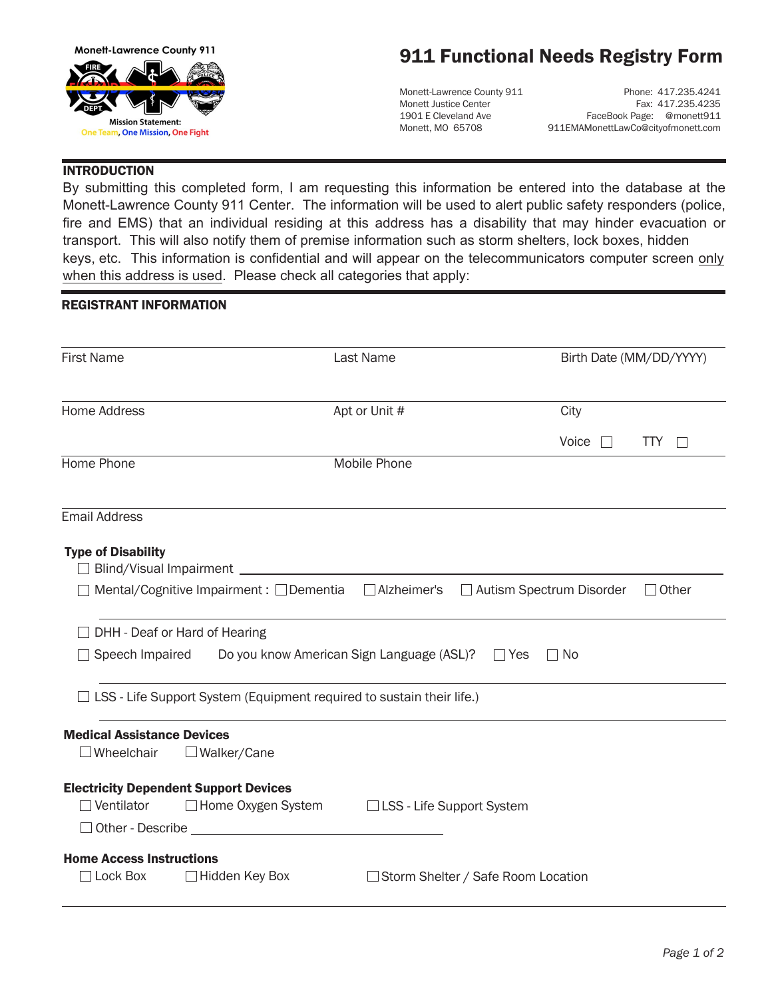



# 911 Functional Needs Registry Form

Monett-Lawrence County 911 Monett Justice Center 1901 E Cleveland Ave Monett, MO 65708

Phone: 417.235.4241 Fax: 417.235.4235 FaceBook Page: @monett911 911EMAMonettLawCo@cityofmonett.com

#### **INTRODUCTION**

By submitting this completed form, I am requesting this information be entered into the database at the Monett-Lawrence County 911 Center. The information will be used to alert public safety responders (police, fire and EMS) that an individual residing at this address has a disability that may hinder evacuation or transport. This will also notify them of premise information such as storm shelters, lock boxes, hidden keys, etc. This information is confidential and will appear on the telecommunicators computer screen only when this address is used. Please check all categories that apply:

#### REGISTRANT INFORMATION

| <b>First Name</b>                                                     |                                           | Last Name          |                                      | Birth Date (MM/DD/YYYY) |                       |
|-----------------------------------------------------------------------|-------------------------------------------|--------------------|--------------------------------------|-------------------------|-----------------------|
| <b>Home Address</b>                                                   |                                           | Apt or Unit #      |                                      | City                    |                       |
|                                                                       |                                           |                    |                                      | Voice                   | TTY<br>$\overline{a}$ |
| Home Phone                                                            |                                           | Mobile Phone       |                                      |                         |                       |
| <b>Email Address</b>                                                  |                                           |                    |                                      |                         |                       |
| <b>Type of Disability</b><br>$\Box$                                   |                                           |                    |                                      |                         |                       |
| Mental/Cognitive Impairment : □ Dementia<br>H                         |                                           | $\Box$ Alzheimer's | □ Autism Spectrum Disorder           |                         | $\Box$ Other          |
| DHH - Deaf or Hard of Hearing<br>$\mathsf{L}$                         |                                           |                    |                                      |                         |                       |
| Speech Impaired<br><b>College</b>                                     | Do you know American Sign Language (ASL)? |                    | $\Box$ Yes                           | $\Box$ No               |                       |
| LSS - Life Support System (Equipment required to sustain their life.) |                                           |                    |                                      |                         |                       |
| <b>Medical Assistance Devices</b>                                     |                                           |                    |                                      |                         |                       |
| $\Box$ Wheelchair<br>$\Box$ Walker/Cane                               |                                           |                    |                                      |                         |                       |
| <b>Electricity Dependent Support Devices</b>                          |                                           |                    |                                      |                         |                       |
| $\Box$ Ventilator                                                     | □ Home Oxygen System                      |                    | □ LSS - Life Support System          |                         |                       |
| □ Other - Describe <u>__________________________________</u>          |                                           |                    |                                      |                         |                       |
| <b>Home Access Instructions</b>                                       |                                           |                    |                                      |                         |                       |
| $\Box$ Lock Box<br>$\Box$ Hidden Key Box                              |                                           |                    | □ Storm Shelter / Safe Room Location |                         |                       |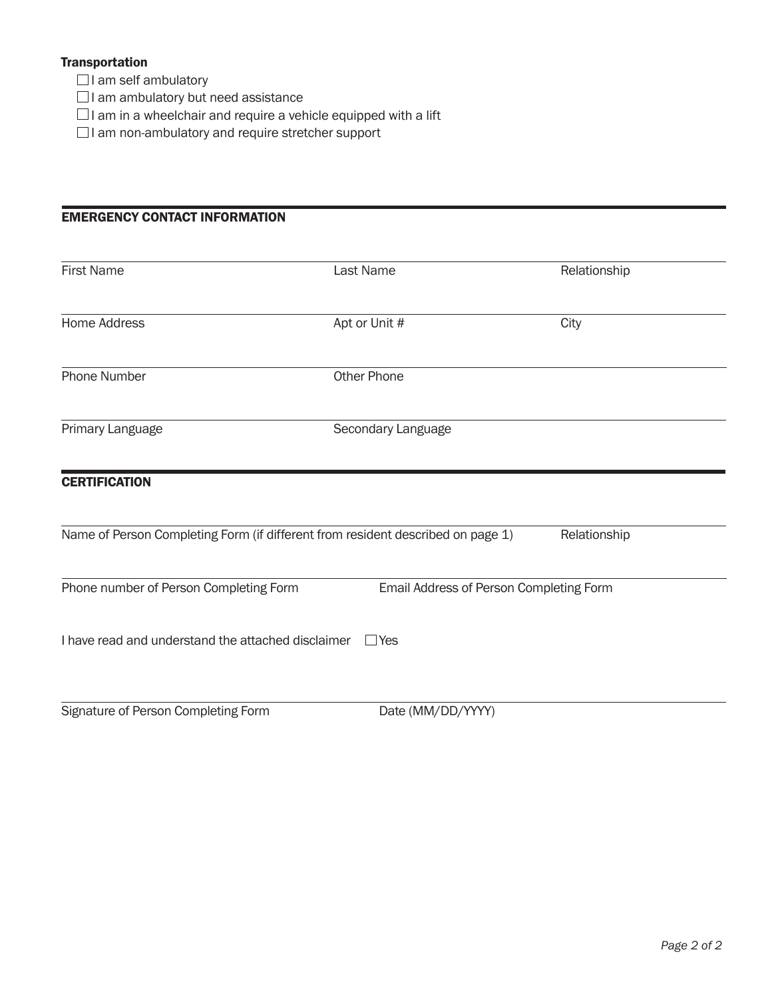### **Transportation**

 $\Box$ I am self ambulatory

- $\Box$ I am ambulatory but need assistance
- $\Box$ I am in a wheelchair and require a vehicle equipped with a lift
- $\Box$ I am non-ambulatory and require stretcher support

## EMERGENCY CONTACT INFORMATION

| <b>First Name</b>                                  | Last Name                                                                       | Relationship |
|----------------------------------------------------|---------------------------------------------------------------------------------|--------------|
| <b>Home Address</b>                                | Apt or Unit #                                                                   | City         |
| Phone Number                                       | <b>Other Phone</b>                                                              |              |
| Primary Language                                   | Secondary Language                                                              |              |
| <b>CERTIFICATION</b>                               |                                                                                 |              |
|                                                    | Name of Person Completing Form (if different from resident described on page 1) | Relationship |
| Phone number of Person Completing Form             | Email Address of Person Completing Form                                         |              |
| I have read and understand the attached disclaimer | $\Box$ Yes                                                                      |              |
| Signature of Person Completing Form                | Date (MM/DD/YYYY)                                                               |              |